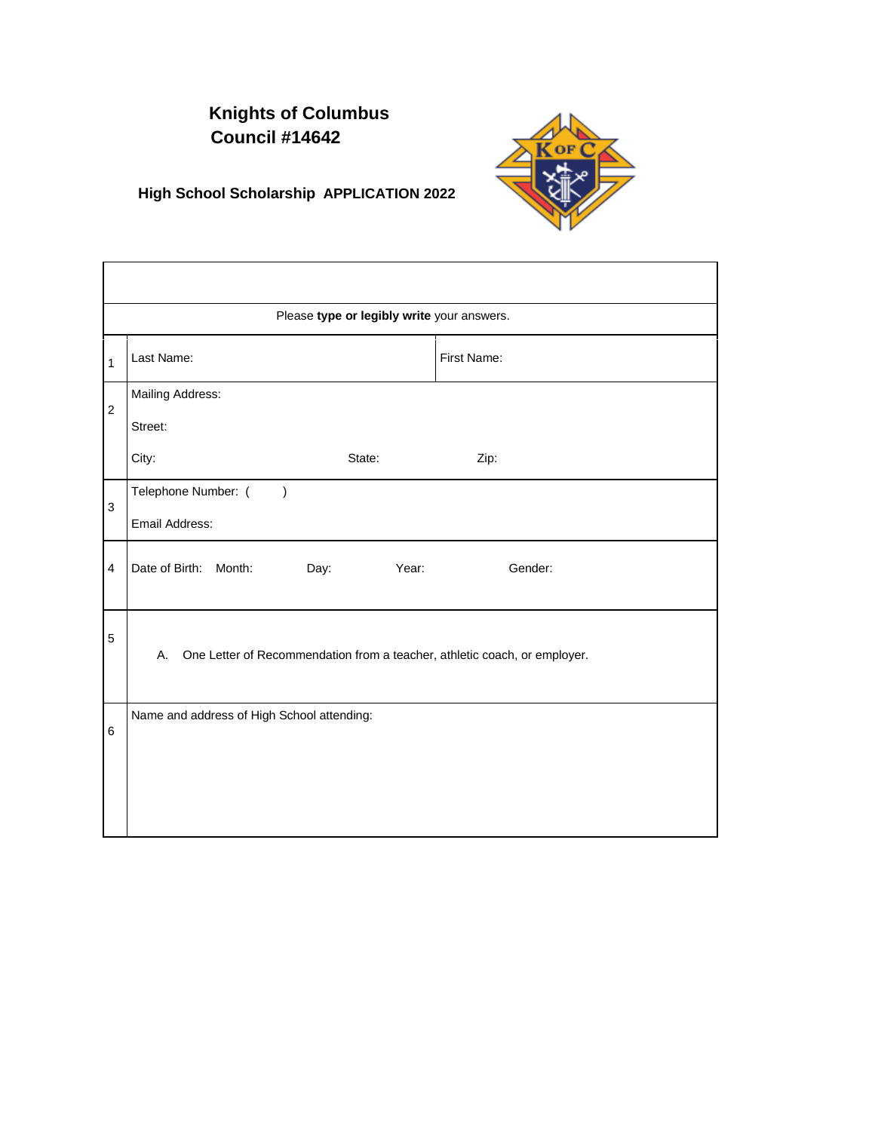**Knights of Columbus Council #14642**



**High School Scholarship APPLICATION 2022**

| Please type or legibly write your answers. |                                                                                 |             |  |
|--------------------------------------------|---------------------------------------------------------------------------------|-------------|--|
| $\mathbf{1}$                               | Last Name:                                                                      | First Name: |  |
| $\overline{2}$                             | Mailing Address:                                                                |             |  |
|                                            | Street:                                                                         |             |  |
|                                            | City:<br>State:                                                                 | Zip:        |  |
| 3                                          | Telephone Number: (<br>$\rightarrow$                                            |             |  |
|                                            | Email Address:                                                                  |             |  |
| $\overline{\mathbf{4}}$                    | Date of Birth: Month:<br>Year:<br>Day:                                          | Gender:     |  |
| 5                                          | One Letter of Recommendation from a teacher, athletic coach, or employer.<br>А. |             |  |
| 6                                          | Name and address of High School attending:                                      |             |  |
|                                            |                                                                                 |             |  |
|                                            |                                                                                 |             |  |
|                                            |                                                                                 |             |  |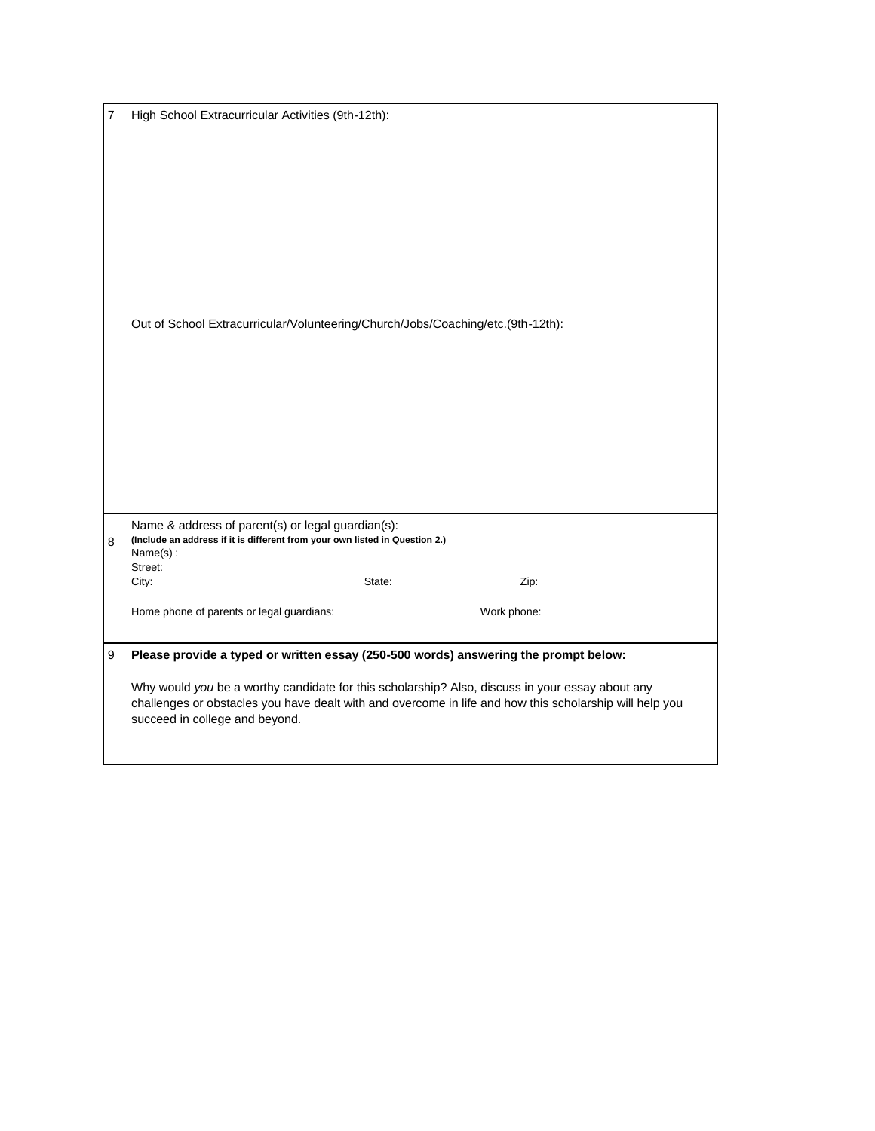| $\overline{7}$ | High School Extracurricular Activities (9th-12th):                                                                                                                                                                                           |  |
|----------------|----------------------------------------------------------------------------------------------------------------------------------------------------------------------------------------------------------------------------------------------|--|
|                | Out of School Extracurricular/Volunteering/Church/Jobs/Coaching/etc.(9th-12th):                                                                                                                                                              |  |
| 8              | Name & address of parent(s) or legal guardian(s):<br>(Include an address if it is different from your own listed in Question 2.)<br>Name(s):<br>Street:                                                                                      |  |
|                | City:<br>State:<br>Zip:                                                                                                                                                                                                                      |  |
|                | Home phone of parents or legal guardians:<br>Work phone:                                                                                                                                                                                     |  |
| 9              | Please provide a typed or written essay (250-500 words) answering the prompt below:                                                                                                                                                          |  |
|                | Why would you be a worthy candidate for this scholarship? Also, discuss in your essay about any<br>challenges or obstacles you have dealt with and overcome in life and how this scholarship will help you<br>succeed in college and beyond. |  |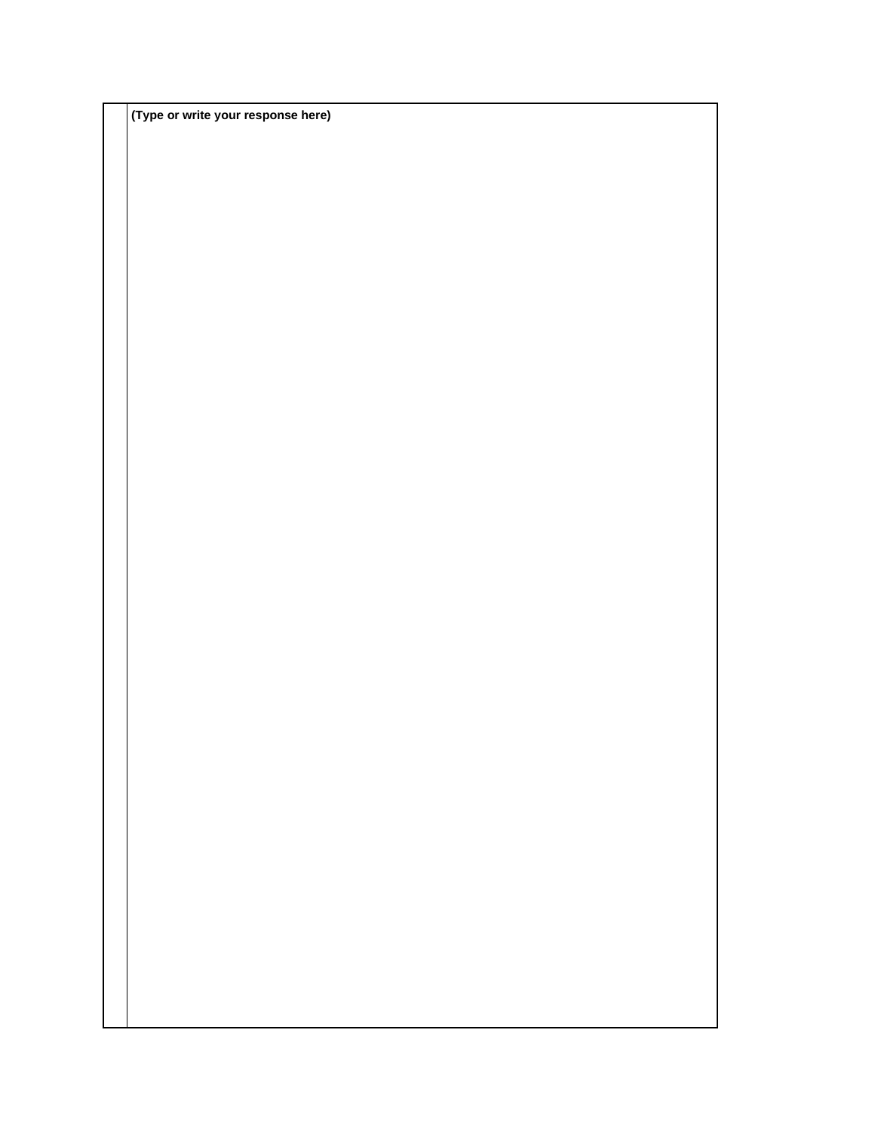**(Type or write your response here)**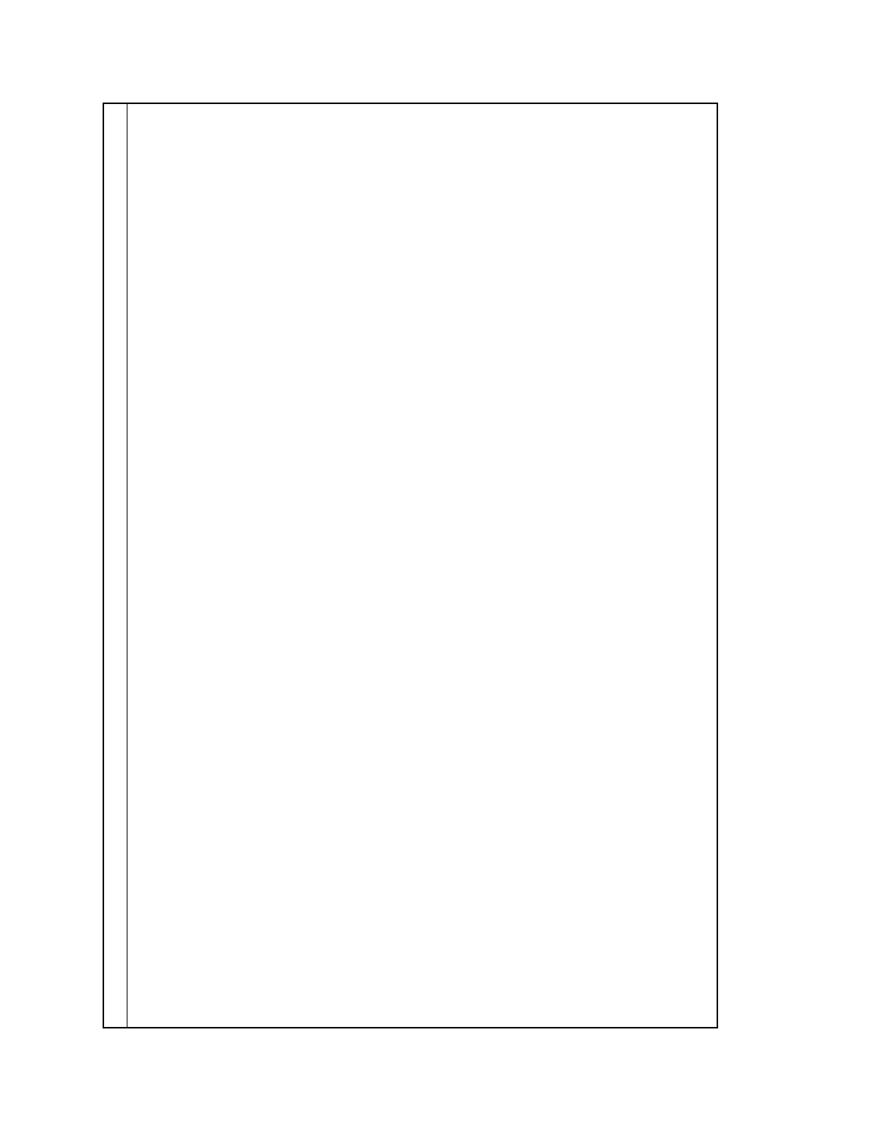